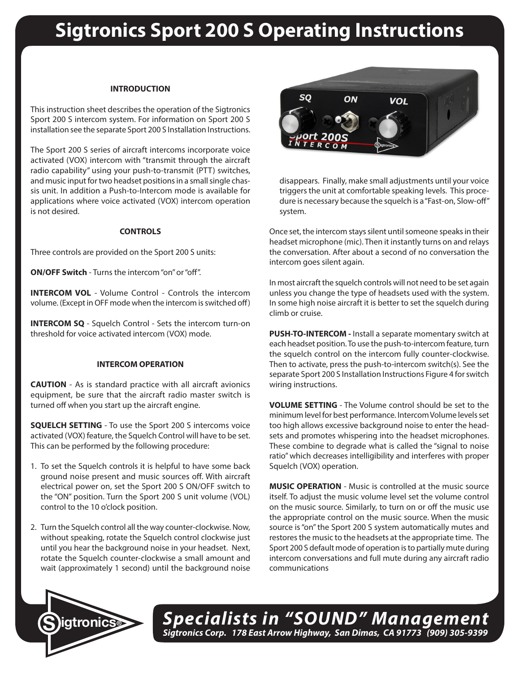# **Sigtronics Sport 200 S Operating Instructions**

## **INTRODUCTION**

This instruction sheet describes the operation of the Sigtronics Sport 200 S intercom system. For information on Sport 200 S installation see the separate Sport 200 S Installation Instructions.

The Sport 200 S series of aircraft intercoms incorporate voice activated (VOX) intercom with "transmit through the aircraft radio capability" using your push-to-transmit (PTT) switches, and music input for two headset positions in a small single chassis unit. In addition a Push-to-Intercom mode is available for applications where voice activated (VOX) intercom operation is not desired.

### **CONTROLS**

Three controls are provided on the Sport 200 S units:

**ON/OFF Switch** - Turns the intercom "on" or "off".

**INTERCOM VOL** - Volume Control - Controls the intercom volume. (Except in OFF mode when the intercom is switched off)

**INTERCOM SQ** - Squelch Control - Sets the intercom turn-on threshold for voice activated intercom (VOX) mode.

# **INTERCOM OPERATION**

**CAUTION** - As is standard practice with all aircraft avionics equipment, be sure that the aircraft radio master switch is turned off when you start up the aircraft engine.

**SQUELCH SETTING** - To use the Sport 200 S intercoms voice activated (VOX) feature, the Squelch Control will have to be set. This can be performed by the following procedure:

- 1. To set the Squelch controls it is helpful to have some back ground noise present and music sources off. With aircraft electrical power on, set the Sport 200 S ON/OFF switch to the "ON" position. Turn the Sport 200 S unit volume (VOL) control to the 10 o'clock position.
- 2. Turn the Squelch control all the way counter-clockwise. Now, without speaking, rotate the Squelch control clockwise just until you hear the background noise in your headset. Next, rotate the Squelch counter-clockwise a small amount and wait (approximately 1 second) until the background noise



disappears. Finally, make small adjustments until your voice triggers the unit at comfortable speaking levels. This procedure is necessary because the squelch is a "Fast-on, Slow-off" system.

Once set, the intercom stays silent until someone speaks in their headset microphone (mic). Then it instantly turns on and relays the conversation. After about a second of no conversation the intercom goes silent again.

In most aircraft the squelch controls will not need to be set again unless you change the type of headsets used with the system. In some high noise aircraft it is better to set the squelch during climb or cruise.

**PUSH-TO-INTERCOM -** Install a separate momentary switch at each headset position. To use the push-to-intercom feature, turn the squelch control on the intercom fully counter-clockwise. Then to activate, press the push-to-intercom switch(s). See the separate Sport 200 S Installation Instructions Figure 4 for switch wiring instructions.

**VOLUME SETTING** - The Volume control should be set to the minimum level for best performance. Intercom Volume levels set too high allows excessive background noise to enter the headsets and promotes whispering into the headset microphones. These combine to degrade what is called the "signal to noise ratio" which decreases intelligibility and interferes with proper Squelch (VOX) operation.

**MUSIC OPERATION** - Music is controlled at the music source itself. To adjust the music volume level set the volume control on the music source. Similarly, to turn on or off the music use the appropriate control on the music source. When the music source is "on" the Sport 200 S system automatically mutes and restores the music to the headsets at the appropriate time. The Sport 200 S default mode of operation is to partially mute during intercom conversations and full mute during any aircraft radio communications



*Specialists in "SOUND" Management Sigtronics Corp. 178 East Arrow Highway, San Dimas, CA 91773 (909) 305-9399* **S igtronics®**